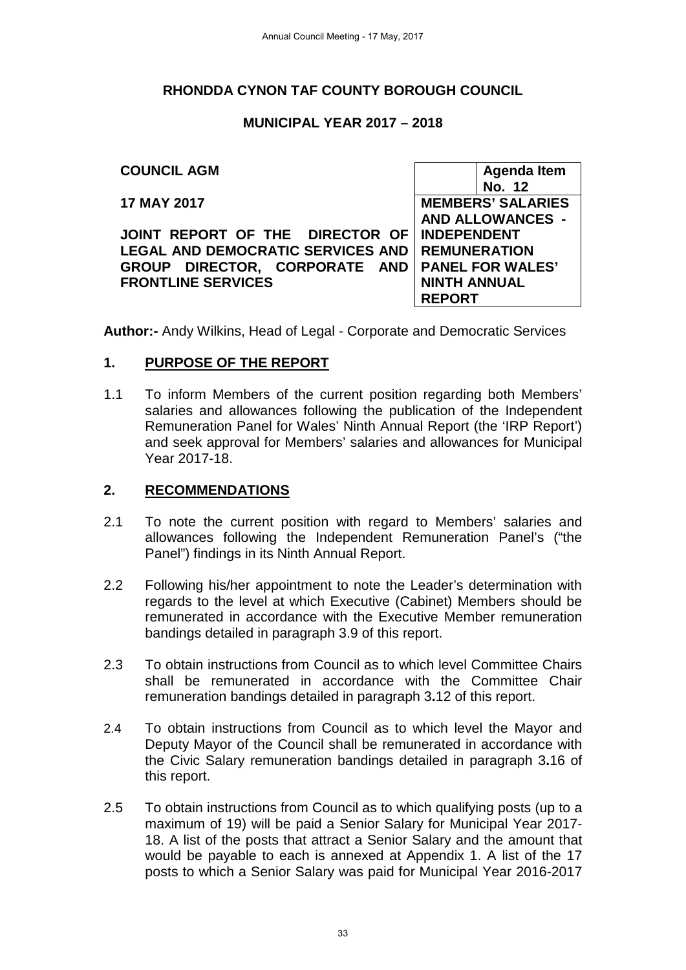## **RHONDDA CYNON TAF COUNTY BOROUGH COUNCIL**

### **MUNICIPAL YEAR 2017 – 2018**

### **COUNCIL AGM**

**17 MAY 2017**

**JOINT REPORT OF THE DIRECTOR OF LEGAL AND DEMOCRATIC SERVICES AND GROUP DIRECTOR, CORPORATE AND FRONTLINE SERVICES**

|                          | No. 12 | <b>Agenda Item</b> |
|--------------------------|--------|--------------------|
| <b>MEMBERS' SALARIES</b> |        |                    |
| <b>AND ALLOWANCES -</b>  |        |                    |
| <b>INDEPENDENT</b>       |        |                    |
| <b>REMUNERATION</b>      |        |                    |
| <b>PANEL FOR WALES'</b>  |        |                    |
| <b>NINTH ANNUAL</b>      |        |                    |
| <b>REPORT</b>            |        |                    |

**Author:-** Andy Wilkins, Head of Legal - Corporate and Democratic Services

#### **1. PURPOSE OF THE REPORT**

1.1 To inform Members of the current position regarding both Members' salaries and allowances following the publication of the Independent Remuneration Panel for Wales' Ninth Annual Report (the 'IRP Report') and seek approval for Members' salaries and allowances for Municipal Year 2017-18.

#### **2. RECOMMENDATIONS**

- 2.1 To note the current position with regard to Members' salaries and allowances following the Independent Remuneration Panel's ("the Panel") findings in its Ninth Annual Report.
- 2.2 Following his/her appointment to note the Leader's determination with regards to the level at which Executive (Cabinet) Members should be remunerated in accordance with the Executive Member remuneration bandings detailed in paragraph 3.9 of this report.
- 2.3 To obtain instructions from Council as to which level Committee Chairs shall be remunerated in accordance with the Committee Chair remuneration bandings detailed in paragraph 3**.**12 of this report.
- 2.4 To obtain instructions from Council as to which level the Mayor and Deputy Mayor of the Council shall be remunerated in accordance with the Civic Salary remuneration bandings detailed in paragraph 3**.**16 of this report.
- 2.5 To obtain instructions from Council as to which qualifying posts (up to a maximum of 19) will be paid a Senior Salary for Municipal Year 2017- 18. A list of the posts that attract a Senior Salary and the amount that would be payable to each is annexed at Appendix 1. A list of the 17 posts to which a Senior Salary was paid for Municipal Year 2016-2017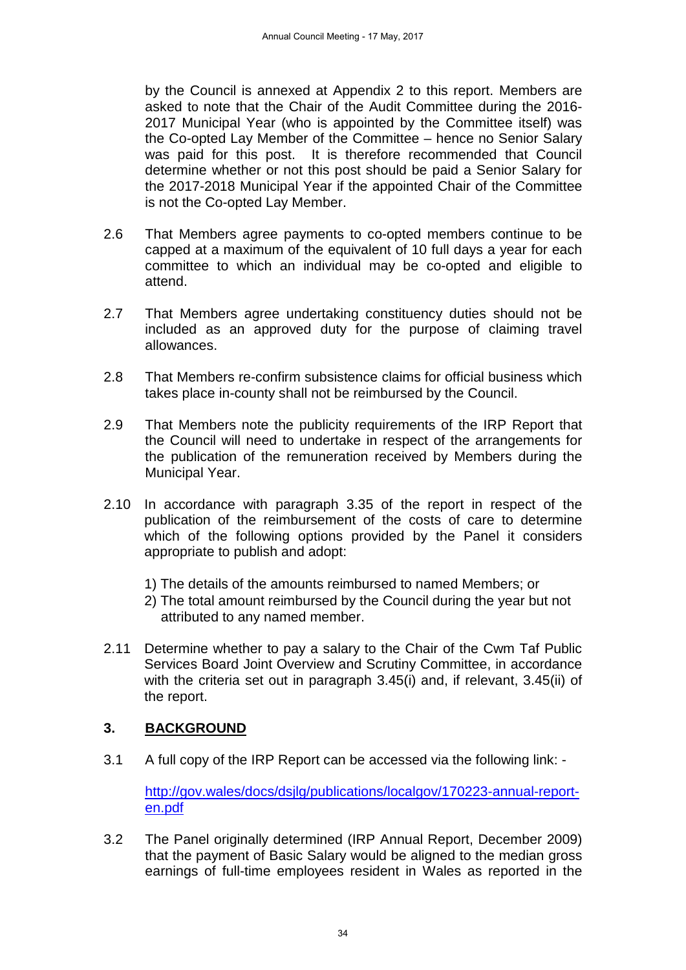by the Council is annexed at Appendix 2 to this report. Members are asked to note that the Chair of the Audit Committee during the 2016- 2017 Municipal Year (who is appointed by the Committee itself) was the Co-opted Lay Member of the Committee – hence no Senior Salary was paid for this post. It is therefore recommended that Council determine whether or not this post should be paid a Senior Salary for the 2017-2018 Municipal Year if the appointed Chair of the Committee is not the Co-opted Lay Member.

- 2.6 That Members agree payments to co-opted members continue to be capped at a maximum of the equivalent of 10 full days a year for each committee to which an individual may be co-opted and eligible to attend.
- 2.7 That Members agree undertaking constituency duties should not be included as an approved duty for the purpose of claiming travel allowances.
- 2.8 That Members re-confirm subsistence claims for official business which takes place in-county shall not be reimbursed by the Council.
- 2.9 That Members note the publicity requirements of the IRP Report that the Council will need to undertake in respect of the arrangements for the publication of the remuneration received by Members during the Municipal Year.
- 2.10 In accordance with paragraph 3.35 of the report in respect of the publication of the reimbursement of the costs of care to determine which of the following options provided by the Panel it considers appropriate to publish and adopt:
	- 1) The details of the amounts reimbursed to named Members; or
	- 2) The total amount reimbursed by the Council during the year but not attributed to any named member.
- 2.11 Determine whether to pay a salary to the Chair of the Cwm Taf Public Services Board Joint Overview and Scrutiny Committee, in accordance with the criteria set out in paragraph 3.45(i) and, if relevant, 3.45(ii) of the report.

# **3. BACKGROUND**

3.1 A full copy of the IRP Report can be accessed via the following link: -

[http://gov.wales/docs/dsjlg/publications/localgov/170223-annual-report](http://gov.wales/docs/dsjlg/publications/localgov/170223-annual-report-en.pdf)[en.pdf](http://gov.wales/docs/dsjlg/publications/localgov/170223-annual-report-en.pdf)

3.2 The Panel originally determined (IRP Annual Report, December 2009) that the payment of Basic Salary would be aligned to the median gross earnings of full-time employees resident in Wales as reported in the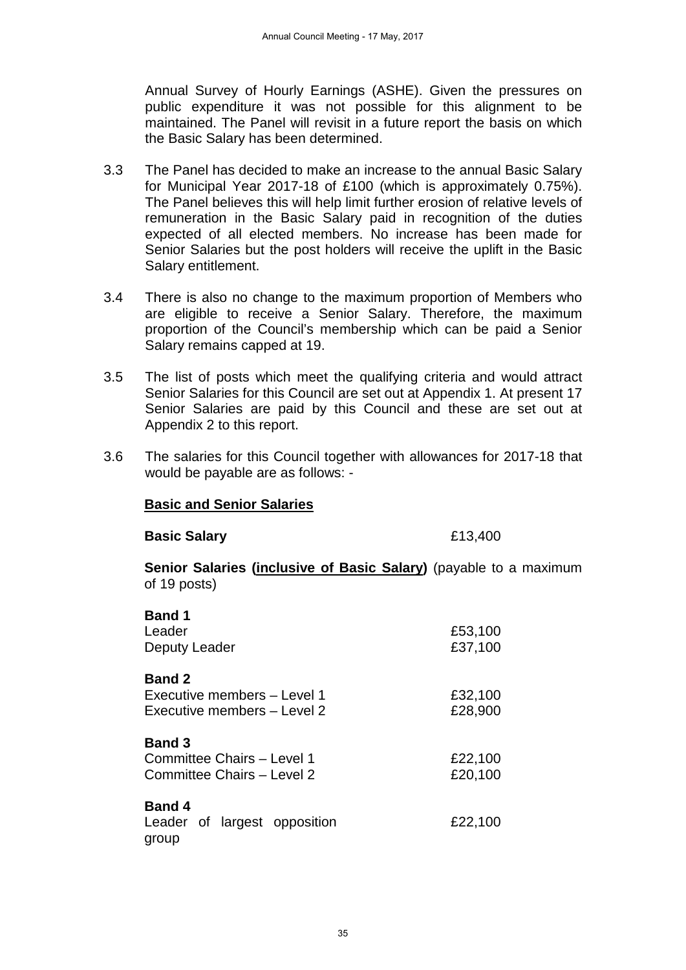Annual Survey of Hourly Earnings (ASHE). Given the pressures on public expenditure it was not possible for this alignment to be maintained. The Panel will revisit in a future report the basis on which the Basic Salary has been determined.

- 3.3 The Panel has decided to make an increase to the annual Basic Salary for Municipal Year 2017-18 of £100 (which is approximately 0.75%). The Panel believes this will help limit further erosion of relative levels of remuneration in the Basic Salary paid in recognition of the duties expected of all elected members. No increase has been made for Senior Salaries but the post holders will receive the uplift in the Basic Salary entitlement.
- 3.4 There is also no change to the maximum proportion of Members who are eligible to receive a Senior Salary. Therefore, the maximum proportion of the Council's membership which can be paid a Senior Salary remains capped at 19.
- 3.5 The list of posts which meet the qualifying criteria and would attract Senior Salaries for this Council are set out at Appendix 1. At present 17 Senior Salaries are paid by this Council and these are set out at Appendix 2 to this report.
- 3.6 The salaries for this Council together with allowances for 2017-18 that would be payable are as follows: -

### **Basic and Senior Salaries**

# **Basic Salary E13,400**

**Senior Salaries (inclusive of Basic Salary)** (payable to a maximum of 19 posts)

| <b>Band 1</b>                                                               |                    |
|-----------------------------------------------------------------------------|--------------------|
| Leader                                                                      | £53,100            |
| Deputy Leader                                                               | £37,100            |
| <b>Band 2</b><br>Executive members – Level 1<br>Executive members - Level 2 | £32,100<br>£28,900 |
| <b>Band 3</b>                                                               |                    |
| Committee Chairs - Level 1                                                  | £22,100            |
| Committee Chairs - Level 2                                                  | £20,100            |
| <b>Band 4</b>                                                               |                    |
| Leader of largest opposition<br>group                                       | £22,100            |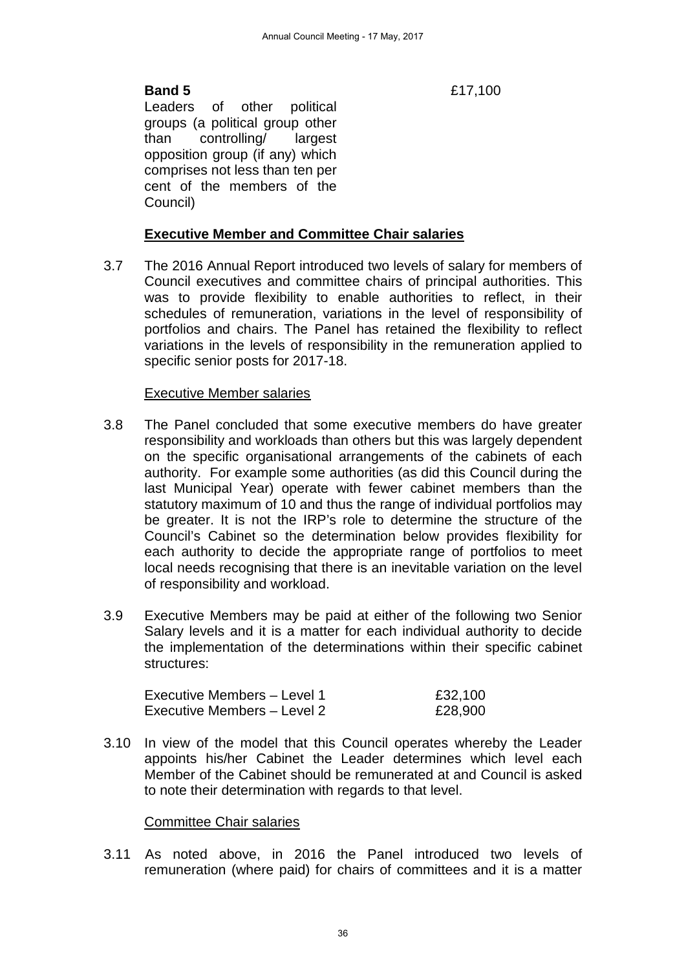# **Band 5**

£17,100

Leaders of other political groups (a political group other than controlling/ largest opposition group (if any) which comprises not less than ten per cent of the members of the Council)

# **Executive Member and Committee Chair salaries**

3.7 The 2016 Annual Report introduced two levels of salary for members of Council executives and committee chairs of principal authorities. This was to provide flexibility to enable authorities to reflect, in their schedules of remuneration, variations in the level of responsibility of portfolios and chairs. The Panel has retained the flexibility to reflect variations in the levels of responsibility in the remuneration applied to specific senior posts for 2017-18.

#### Executive Member salaries

- 3.8 The Panel concluded that some executive members do have greater responsibility and workloads than others but this was largely dependent on the specific organisational arrangements of the cabinets of each authority. For example some authorities (as did this Council during the last Municipal Year) operate with fewer cabinet members than the statutory maximum of 10 and thus the range of individual portfolios may be greater. It is not the IRP's role to determine the structure of the Council's Cabinet so the determination below provides flexibility for each authority to decide the appropriate range of portfolios to meet local needs recognising that there is an inevitable variation on the level of responsibility and workload.
- 3.9 Executive Members may be paid at either of the following two Senior Salary levels and it is a matter for each individual authority to decide the implementation of the determinations within their specific cabinet structures:

| Executive Members - Level 1 | £32,100 |
|-----------------------------|---------|
| Executive Members - Level 2 | £28,900 |

3.10 In view of the model that this Council operates whereby the Leader appoints his/her Cabinet the Leader determines which level each Member of the Cabinet should be remunerated at and Council is asked to note their determination with regards to that level.

#### Committee Chair salaries

3.11 As noted above, in 2016 the Panel introduced two levels of remuneration (where paid) for chairs of committees and it is a matter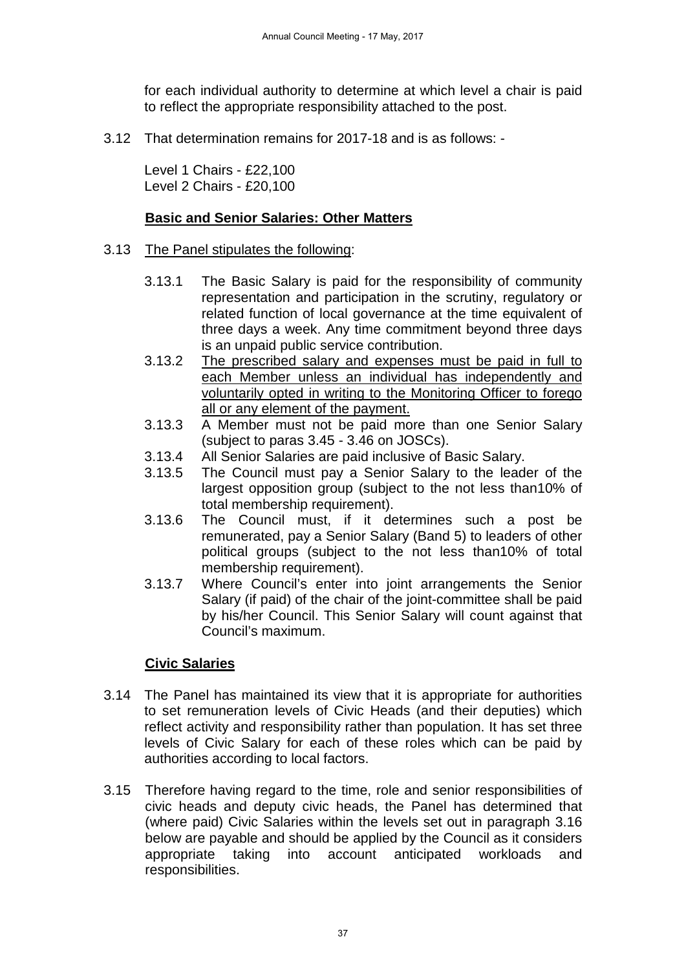for each individual authority to determine at which level a chair is paid to reflect the appropriate responsibility attached to the post.

3.12 That determination remains for 2017-18 and is as follows: -

Level 1 Chairs - £22,100 Level 2 Chairs - £20,100

### **Basic and Senior Salaries: Other Matters**

#### 3.13 The Panel stipulates the following:

- 3.13.1 The Basic Salary is paid for the responsibility of community representation and participation in the scrutiny, regulatory or related function of local governance at the time equivalent of three days a week. Any time commitment beyond three days is an unpaid public service contribution.
- 3.13.2 The prescribed salary and expenses must be paid in full to each Member unless an individual has independently and voluntarily opted in writing to the Monitoring Officer to forego all or any element of the payment.
- 3.13.3 A Member must not be paid more than one Senior Salary (subject to paras 3.45 - 3.46 on JOSCs).
- 3.13.4 All Senior Salaries are paid inclusive of Basic Salary.
- 3.13.5 The Council must pay a Senior Salary to the leader of the largest opposition group (subject to the not less than10% of total membership requirement).
- 3.13.6 The Council must, if it determines such a post be remunerated, pay a Senior Salary (Band 5) to leaders of other political groups (subject to the not less than10% of total membership requirement).
- 3.13.7 Where Council's enter into joint arrangements the Senior Salary (if paid) of the chair of the joint-committee shall be paid by his/her Council. This Senior Salary will count against that Council's maximum.

# **Civic Salaries**

- 3.14 The Panel has maintained its view that it is appropriate for authorities to set remuneration levels of Civic Heads (and their deputies) which reflect activity and responsibility rather than population. It has set three levels of Civic Salary for each of these roles which can be paid by authorities according to local factors.
- 3.15 Therefore having regard to the time, role and senior responsibilities of civic heads and deputy civic heads, the Panel has determined that (where paid) Civic Salaries within the levels set out in paragraph 3.16 below are payable and should be applied by the Council as it considers appropriate taking into account anticipated workloads and responsibilities.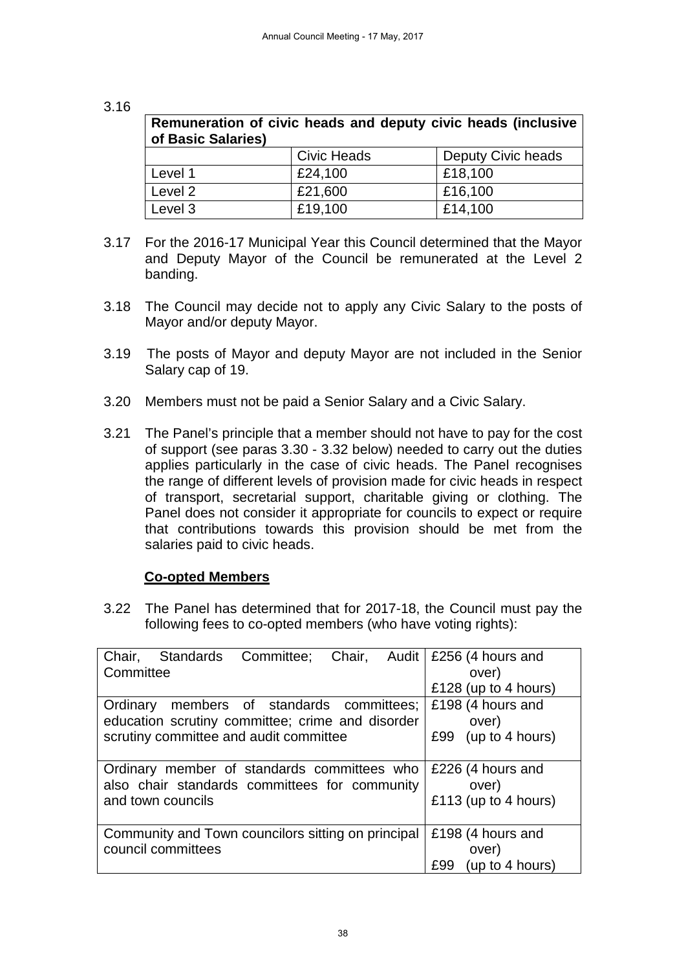#### 3.16

| Remuneration of civic heads and deputy civic heads (inclusive<br>of Basic Salaries) |                    |                    |  |
|-------------------------------------------------------------------------------------|--------------------|--------------------|--|
|                                                                                     | <b>Civic Heads</b> | Deputy Civic heads |  |
| Level 1                                                                             | £24,100            | £18,100            |  |
| Level 2                                                                             | £21,600            | £16,100            |  |
| Level 3                                                                             | £19,100            | £14,100            |  |

- 3.17 For the 2016-17 Municipal Year this Council determined that the Mayor and Deputy Mayor of the Council be remunerated at the Level 2 banding.
- 3.18 The Council may decide not to apply any Civic Salary to the posts of Mayor and/or deputy Mayor.
- 3.19 The posts of Mayor and deputy Mayor are not included in the Senior Salary cap of 19.
- 3.20 Members must not be paid a Senior Salary and a Civic Salary.
- 3.21 The Panel's principle that a member should not have to pay for the cost of support (see paras 3.30 - 3.32 below) needed to carry out the duties applies particularly in the case of civic heads. The Panel recognises the range of different levels of provision made for civic heads in respect of transport, secretarial support, charitable giving or clothing. The Panel does not consider it appropriate for councils to expect or require that contributions towards this provision should be met from the salaries paid to civic heads.

### **Co-opted Members**

3.22 The Panel has determined that for 2017-18, the Council must pay the following fees to co-opted members (who have voting rights):

|           |                    | Chair, Standards Committee; Chair, Audit   £256 (4 hours and |  |     |                      |
|-----------|--------------------|--------------------------------------------------------------|--|-----|----------------------|
| Committee |                    |                                                              |  |     | over)                |
|           |                    |                                                              |  |     | £128 (up to 4 hours) |
| Ordinary  |                    | members of standards committees;                             |  |     | £198 (4 hours and    |
|           |                    | education scrutiny committee; crime and disorder             |  |     | over)                |
|           |                    | scrutiny committee and audit committee                       |  | £99 | (up to 4 hours)      |
|           |                    |                                                              |  |     |                      |
|           |                    | Ordinary member of standards committees who                  |  |     | £226 (4 hours and    |
|           |                    | also chair standards committees for community                |  |     | over)                |
|           | and town councils  |                                                              |  |     | £113 (up to 4 hours) |
|           |                    |                                                              |  |     |                      |
|           |                    | Community and Town councilors sitting on principal           |  |     | £198 (4 hours and    |
|           | council committees |                                                              |  |     | over)                |
|           |                    |                                                              |  | £99 | (up to 4 hours)      |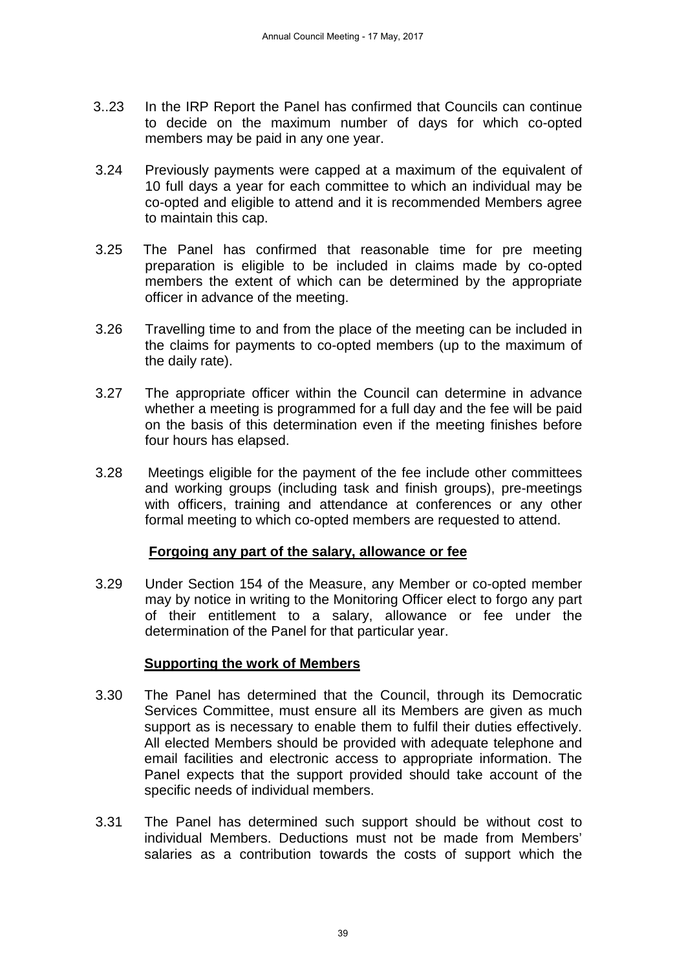- 3..23 In the IRP Report the Panel has confirmed that Councils can continue to decide on the maximum number of days for which co-opted members may be paid in any one year.
- 3.24 Previously payments were capped at a maximum of the equivalent of 10 full days a year for each committee to which an individual may be co-opted and eligible to attend and it is recommended Members agree to maintain this cap.
- 3.25 The Panel has confirmed that reasonable time for pre meeting preparation is eligible to be included in claims made by co-opted members the extent of which can be determined by the appropriate officer in advance of the meeting.
- 3.26 Travelling time to and from the place of the meeting can be included in the claims for payments to co-opted members (up to the maximum of the daily rate).
- 3.27 The appropriate officer within the Council can determine in advance whether a meeting is programmed for a full day and the fee will be paid on the basis of this determination even if the meeting finishes before four hours has elapsed.
- 3.28 Meetings eligible for the payment of the fee include other committees and working groups (including task and finish groups), pre-meetings with officers, training and attendance at conferences or any other formal meeting to which co-opted members are requested to attend.

### **Forgoing any part of the salary, allowance or fee**

3.29 Under Section 154 of the Measure, any Member or co-opted member may by notice in writing to the Monitoring Officer elect to forgo any part of their entitlement to a salary, allowance or fee under the determination of the Panel for that particular year.

### **Supporting the work of Members**

- 3.30 The Panel has determined that the Council, through its Democratic Services Committee, must ensure all its Members are given as much support as is necessary to enable them to fulfil their duties effectively. All elected Members should be provided with adequate telephone and email facilities and electronic access to appropriate information. The Panel expects that the support provided should take account of the specific needs of individual members.
- 3.31 The Panel has determined such support should be without cost to individual Members. Deductions must not be made from Members' salaries as a contribution towards the costs of support which the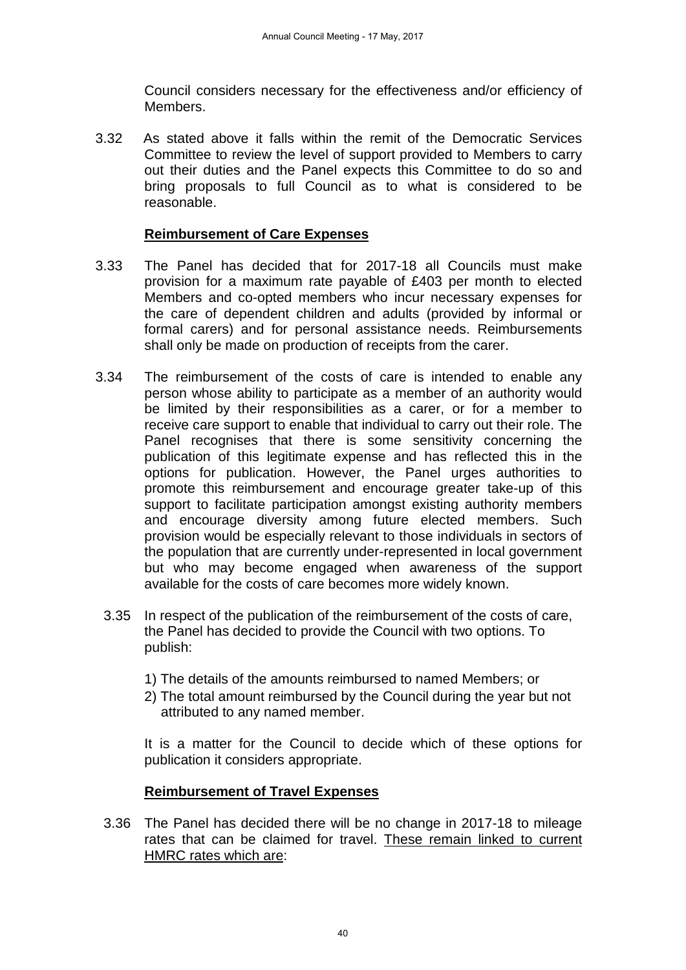Council considers necessary for the effectiveness and/or efficiency of Members.

3.32 As stated above it falls within the remit of the Democratic Services Committee to review the level of support provided to Members to carry out their duties and the Panel expects this Committee to do so and bring proposals to full Council as to what is considered to be reasonable.

#### **Reimbursement of Care Expenses**

- 3.33 The Panel has decided that for 2017-18 all Councils must make provision for a maximum rate payable of £403 per month to elected Members and co-opted members who incur necessary expenses for the care of dependent children and adults (provided by informal or formal carers) and for personal assistance needs. Reimbursements shall only be made on production of receipts from the carer.
- 3.34 The reimbursement of the costs of care is intended to enable any person whose ability to participate as a member of an authority would be limited by their responsibilities as a carer, or for a member to receive care support to enable that individual to carry out their role. The Panel recognises that there is some sensitivity concerning the publication of this legitimate expense and has reflected this in the options for publication. However, the Panel urges authorities to promote this reimbursement and encourage greater take-up of this support to facilitate participation amongst existing authority members and encourage diversity among future elected members. Such provision would be especially relevant to those individuals in sectors of the population that are currently under-represented in local government but who may become engaged when awareness of the support available for the costs of care becomes more widely known.
	- 3.35 In respect of the publication of the reimbursement of the costs of care, the Panel has decided to provide the Council with two options. To publish:
		- 1) The details of the amounts reimbursed to named Members; or
		- 2) The total amount reimbursed by the Council during the year but not attributed to any named member.

It is a matter for the Council to decide which of these options for publication it considers appropriate.

### **Reimbursement of Travel Expenses**

3.36 The Panel has decided there will be no change in 2017-18 to mileage rates that can be claimed for travel. These remain linked to current HMRC rates which are: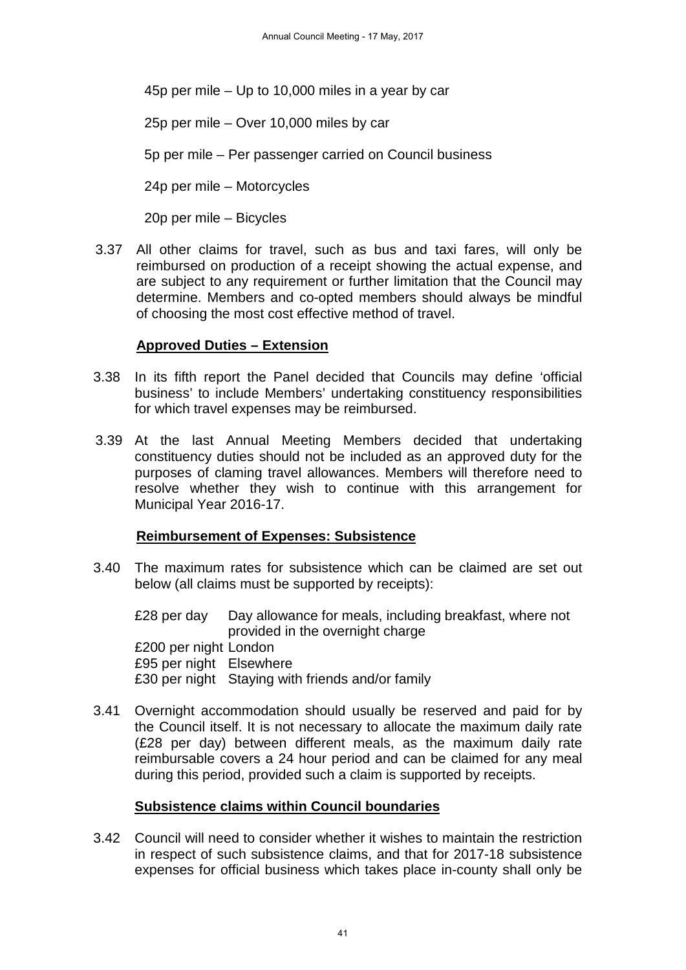45p per mile – Up to 10,000 miles in a year by car

25p per mile – Over 10,000 miles by car

5p per mile – Per passenger carried on Council business

24p per mile – Motorcycles

20p per mile – Bicycles

3.37 All other claims for travel, such as bus and taxi fares, will only be reimbursed on production of a receipt showing the actual expense, and are subject to any requirement or further limitation that the Council may determine. Members and co-opted members should always be mindful of choosing the most cost effective method of travel.

### **Approved Duties – Extension**

- 3.38 In its fifth report the Panel decided that Councils may define 'official business' to include Members' undertaking constituency responsibilities for which travel expenses may be reimbursed.
- 3.39 At the last Annual Meeting Members decided that undertaking constituency duties should not be included as an approved duty for the purposes of claming travel allowances. Members will therefore need to resolve whether they wish to continue with this arrangement for Municipal Year 2016-17.

### **Reimbursement of Expenses: Subsistence**

3.40 The maximum rates for subsistence which can be claimed are set out below (all claims must be supported by receipts):

£28 per day Day allowance for meals, including breakfast, where not provided in the overnight charge £200 per night London £95 per night Elsewhere £30 per night Staying with friends and/or family

3.41 Overnight accommodation should usually be reserved and paid for by the Council itself. It is not necessary to allocate the maximum daily rate (£28 per day) between different meals, as the maximum daily rate reimbursable covers a 24 hour period and can be claimed for any meal during this period, provided such a claim is supported by receipts.

### **Subsistence claims within Council boundaries**

3.42 Council will need to consider whether it wishes to maintain the restriction in respect of such subsistence claims, and that for 2017-18 subsistence expenses for official business which takes place in-county shall only be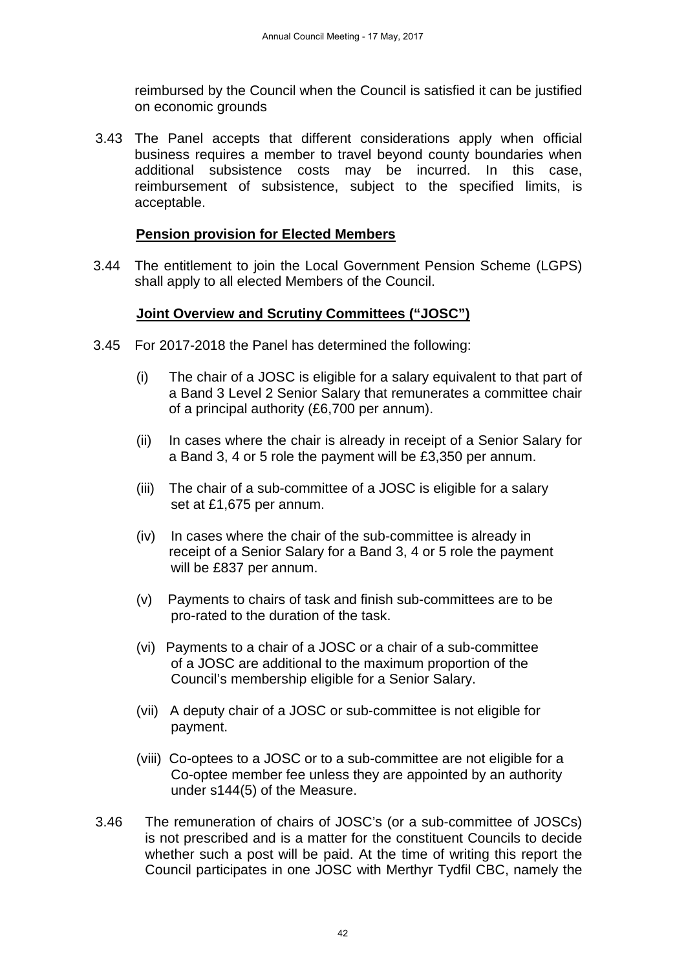reimbursed by the Council when the Council is satisfied it can be justified on economic grounds

3.43 The Panel accepts that different considerations apply when official business requires a member to travel beyond county boundaries when additional subsistence costs may be incurred. In this case, reimbursement of subsistence, subject to the specified limits, is acceptable.

### **Pension provision for Elected Members**

3.44 The entitlement to join the Local Government Pension Scheme (LGPS) shall apply to all elected Members of the Council.

# **Joint Overview and Scrutiny Committees ("JOSC")**

- 3.45 For 2017-2018 the Panel has determined the following:
	- (i) The chair of a JOSC is eligible for a salary equivalent to that part of a Band 3 Level 2 Senior Salary that remunerates a committee chair of a principal authority (£6,700 per annum).
	- (ii) In cases where the chair is already in receipt of a Senior Salary for a Band 3, 4 or 5 role the payment will be £3,350 per annum.
	- (iii) The chair of a sub-committee of a JOSC is eligible for a salary set at £1,675 per annum.
	- (iv) In cases where the chair of the sub-committee is already in receipt of a Senior Salary for a Band 3, 4 or 5 role the payment will be £837 per annum.
	- (v) Payments to chairs of task and finish sub-committees are to be pro-rated to the duration of the task.
	- (vi) Payments to a chair of a JOSC or a chair of a sub-committee of a JOSC are additional to the maximum proportion of the Council's membership eligible for a Senior Salary.
	- (vii) A deputy chair of a JOSC or sub-committee is not eligible for payment.
	- (viii) Co-optees to a JOSC or to a sub-committee are not eligible for a Co-optee member fee unless they are appointed by an authority under s144(5) of the Measure.
- 3.46 The remuneration of chairs of JOSC's (or a sub-committee of JOSCs) is not prescribed and is a matter for the constituent Councils to decide whether such a post will be paid. At the time of writing this report the Council participates in one JOSC with Merthyr Tydfil CBC, namely the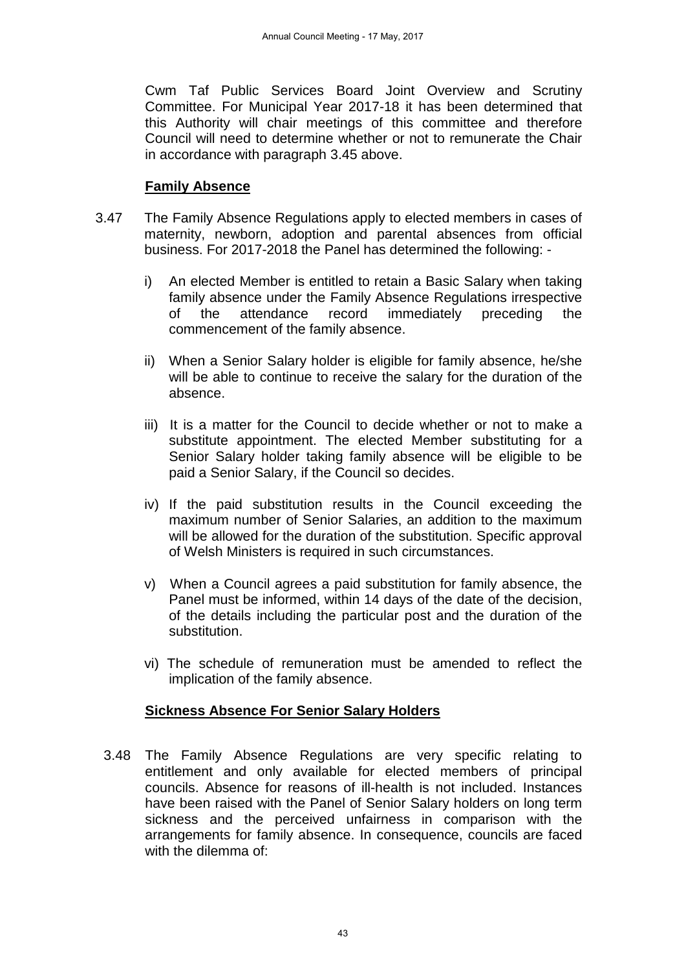Cwm Taf Public Services Board Joint Overview and Scrutiny Committee. For Municipal Year 2017-18 it has been determined that this Authority will chair meetings of this committee and therefore Council will need to determine whether or not to remunerate the Chair in accordance with paragraph 3.45 above.

#### **Family Absence**

- 3.47 The Family Absence Regulations apply to elected members in cases of maternity, newborn, adoption and parental absences from official business. For 2017-2018 the Panel has determined the following:
	- i) An elected Member is entitled to retain a Basic Salary when taking family absence under the Family Absence Regulations irrespective of the attendance record immediately preceding the commencement of the family absence.
	- ii) When a Senior Salary holder is eligible for family absence, he/she will be able to continue to receive the salary for the duration of the absence.
	- iii) It is a matter for the Council to decide whether or not to make a substitute appointment. The elected Member substituting for a Senior Salary holder taking family absence will be eligible to be paid a Senior Salary, if the Council so decides.
	- iv) If the paid substitution results in the Council exceeding the maximum number of Senior Salaries, an addition to the maximum will be allowed for the duration of the substitution. Specific approval of Welsh Ministers is required in such circumstances.
	- v) When a Council agrees a paid substitution for family absence, the Panel must be informed, within 14 days of the date of the decision, of the details including the particular post and the duration of the substitution.
	- vi) The schedule of remuneration must be amended to reflect the implication of the family absence.

### **Sickness Absence For Senior Salary Holders**

3.48 The Family Absence Regulations are very specific relating to entitlement and only available for elected members of principal councils. Absence for reasons of ill-health is not included. Instances have been raised with the Panel of Senior Salary holders on long term sickness and the perceived unfairness in comparison with the arrangements for family absence. In consequence, councils are faced with the dilemma of: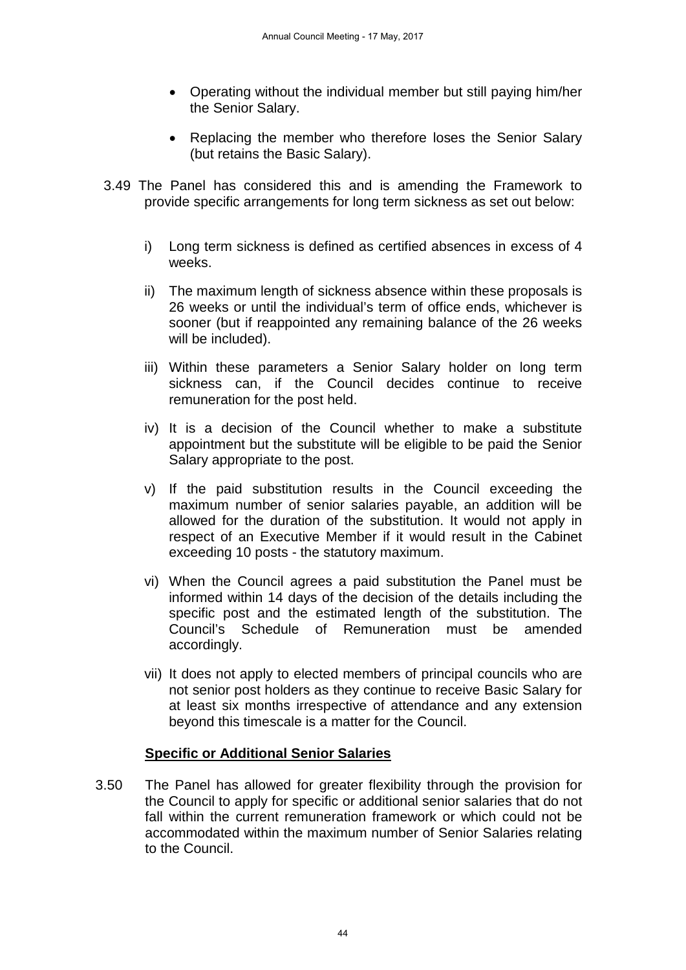- Operating without the individual member but still paying him/her the Senior Salary.
- Replacing the member who therefore loses the Senior Salary (but retains the Basic Salary).
- 3.49 The Panel has considered this and is amending the Framework to provide specific arrangements for long term sickness as set out below:
	- i) Long term sickness is defined as certified absences in excess of 4 weeks.
	- ii) The maximum length of sickness absence within these proposals is 26 weeks or until the individual's term of office ends, whichever is sooner (but if reappointed any remaining balance of the 26 weeks will be included).
	- iii) Within these parameters a Senior Salary holder on long term sickness can, if the Council decides continue to receive remuneration for the post held.
	- iv) It is a decision of the Council whether to make a substitute appointment but the substitute will be eligible to be paid the Senior Salary appropriate to the post.
	- v) If the paid substitution results in the Council exceeding the maximum number of senior salaries payable, an addition will be allowed for the duration of the substitution. It would not apply in respect of an Executive Member if it would result in the Cabinet exceeding 10 posts - the statutory maximum.
	- vi) When the Council agrees a paid substitution the Panel must be informed within 14 days of the decision of the details including the specific post and the estimated length of the substitution. The Council's Schedule of Remuneration must be amended accordingly.
	- vii) It does not apply to elected members of principal councils who are not senior post holders as they continue to receive Basic Salary for at least six months irrespective of attendance and any extension beyond this timescale is a matter for the Council.

### **Specific or Additional Senior Salaries**

3.50 The Panel has allowed for greater flexibility through the provision for the Council to apply for specific or additional senior salaries that do not fall within the current remuneration framework or which could not be accommodated within the maximum number of Senior Salaries relating to the Council.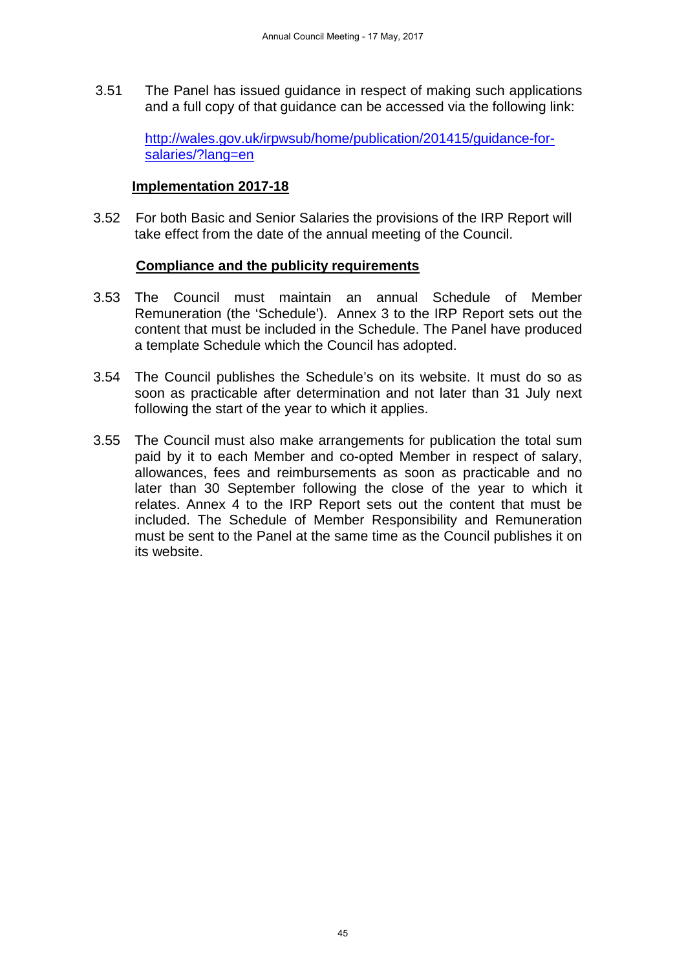3.51 The Panel has issued guidance in respect of making such applications and a full copy of that guidance can be accessed via the following link:

[http://wales.gov.uk/irpwsub/home/publication/201415/guidance-for](http://wales.gov.uk/irpwsub/home/publication/201415/guidance-for-salaries/?lang=en)[salaries/?lang=en](http://wales.gov.uk/irpwsub/home/publication/201415/guidance-for-salaries/?lang=en)

#### **Implementation 2017-18**

3.52 For both Basic and Senior Salaries the provisions of the IRP Report will take effect from the date of the annual meeting of the Council.

### **Compliance and the publicity requirements**

- 3.53 The Council must maintain an annual Schedule of Member Remuneration (the 'Schedule'). Annex 3 to the IRP Report sets out the content that must be included in the Schedule. The Panel have produced a template Schedule which the Council has adopted.
- 3.54 The Council publishes the Schedule's on its website. It must do so as soon as practicable after determination and not later than 31 July next following the start of the year to which it applies.
- 3.55 The Council must also make arrangements for publication the total sum paid by it to each Member and co-opted Member in respect of salary, allowances, fees and reimbursements as soon as practicable and no later than 30 September following the close of the year to which it relates. Annex 4 to the IRP Report sets out the content that must be included. The Schedule of Member Responsibility and Remuneration must be sent to the Panel at the same time as the Council publishes it on its website.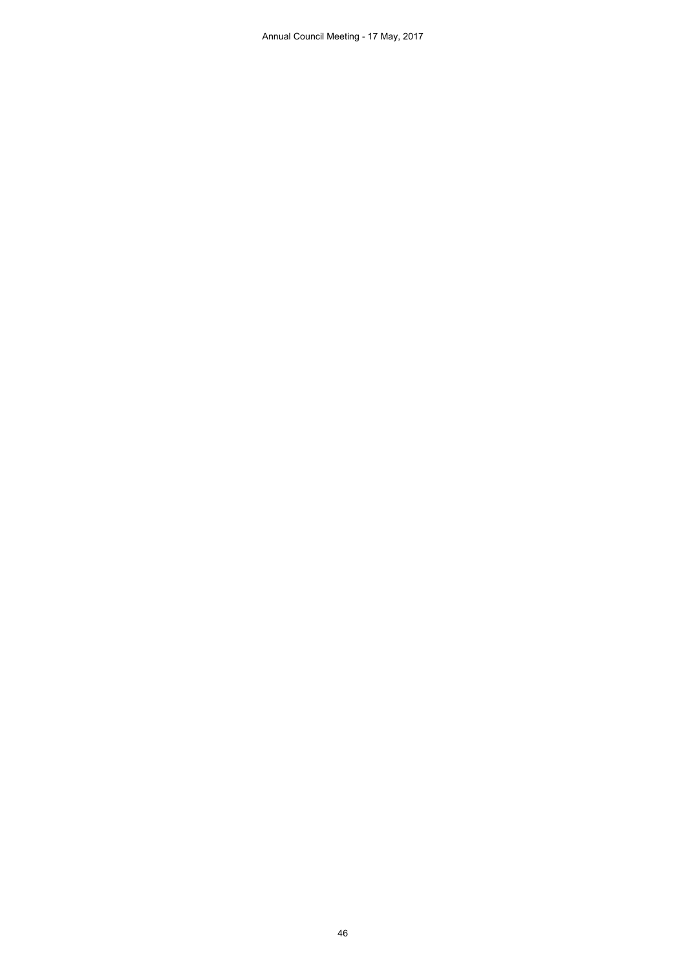Annual Council Meeting - 17 May, 2017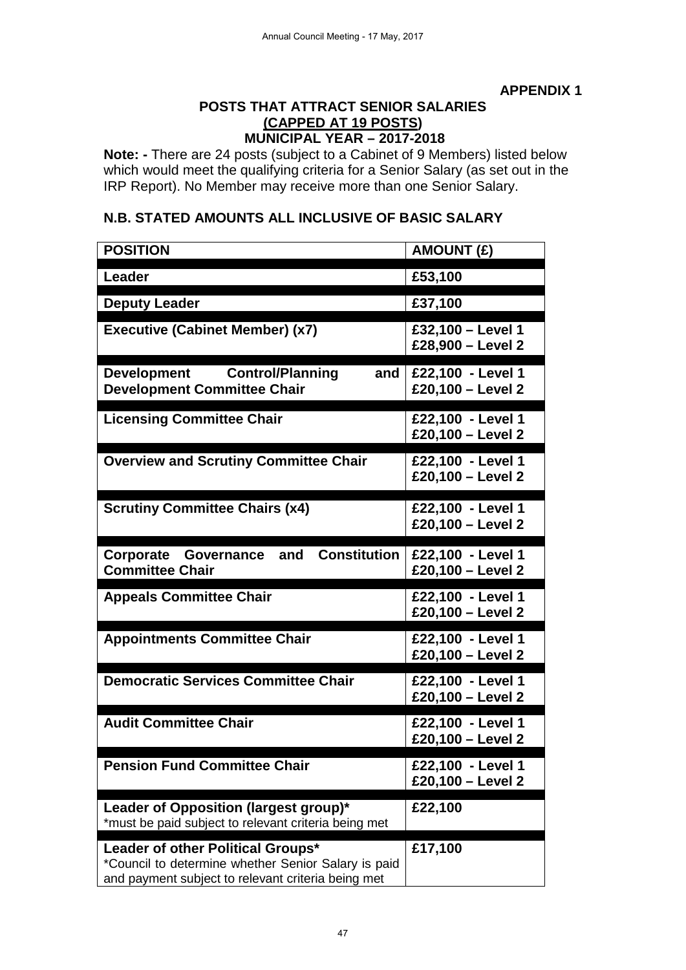# **APPENDIX 1**

#### **POSTS THAT ATTRACT SENIOR SALARIES (CAPPED AT 19 POSTS) MUNICIPAL YEAR – 2017-2018**

**Note: -** There are 24 posts (subject to a Cabinet of 9 Members) listed below which would meet the qualifying criteria for a Senior Salary (as set out in the IRP Report). No Member may receive more than one Senior Salary.

# **N.B. STATED AMOUNTS ALL INCLUSIVE OF BASIC SALARY**

| <b>POSITION</b>                                                                                                                                | <b>AMOUNT (£)</b>                      |
|------------------------------------------------------------------------------------------------------------------------------------------------|----------------------------------------|
| Leader                                                                                                                                         | £53,100                                |
| <b>Deputy Leader</b>                                                                                                                           | £37,100                                |
| <b>Executive (Cabinet Member) (x7)</b>                                                                                                         | £32,100 - Level 1<br>£28,900 - Level 2 |
| <b>Development</b><br><b>Control/Planning</b><br>and<br><b>Development Committee Chair</b>                                                     | £22,100 - Level 1<br>£20,100 - Level 2 |
| <b>Licensing Committee Chair</b>                                                                                                               | £22,100 - Level 1<br>£20,100 - Level 2 |
| <b>Overview and Scrutiny Committee Chair</b>                                                                                                   | £22,100 - Level 1<br>£20,100 - Level 2 |
| <b>Scrutiny Committee Chairs (x4)</b>                                                                                                          | £22,100 - Level 1<br>£20,100 - Level 2 |
| Corporate Governance and Constitution<br><b>Committee Chair</b>                                                                                | £22,100 - Level 1<br>£20,100 - Level 2 |
| <b>Appeals Committee Chair</b>                                                                                                                 | £22,100 - Level 1<br>£20,100 - Level 2 |
| <b>Appointments Committee Chair</b>                                                                                                            | £22,100 - Level 1<br>£20,100 - Level 2 |
| <b>Democratic Services Committee Chair</b>                                                                                                     | £22,100 - Level 1<br>£20,100 - Level 2 |
| <b>Audit Committee Chair</b>                                                                                                                   | £22,100 - Level 1<br>£20,100 - Level 2 |
| <b>Pension Fund Committee Chair</b>                                                                                                            | £22,100 - Level 1<br>£20,100 - Level 2 |
| Leader of Opposition (largest group)*<br>*must be paid subject to relevant criteria being met                                                  | £22,100                                |
| Leader of other Political Groups*<br>*Council to determine whether Senior Salary is paid<br>and payment subject to relevant criteria being met | £17,100                                |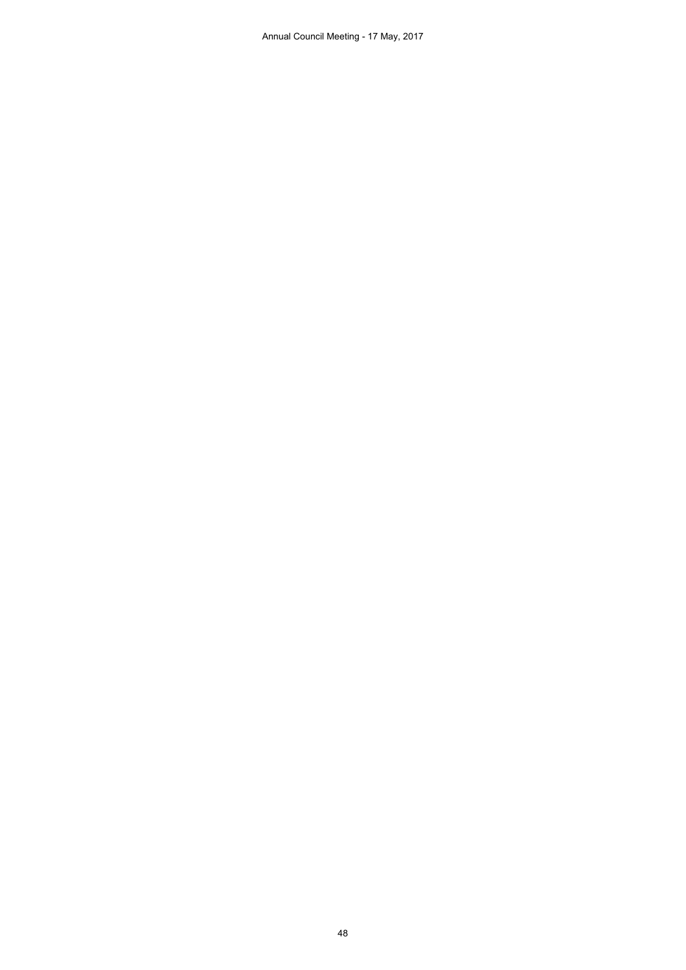Annual Council Meeting - 17 May, 2017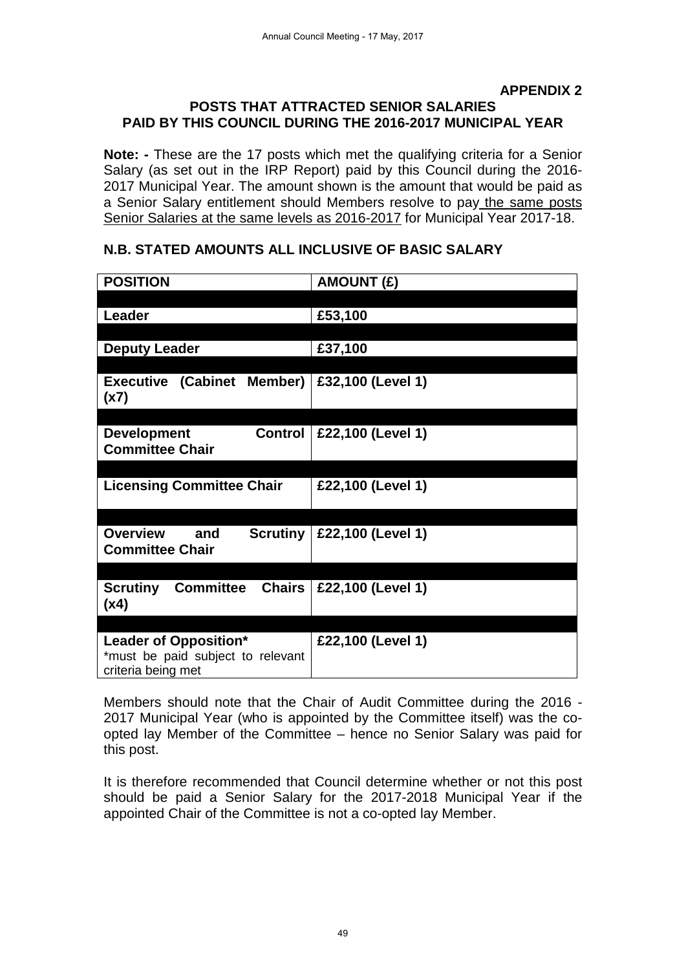#### **APPENDIX 2 POSTS THAT ATTRACTED SENIOR SALARIES PAID BY THIS COUNCIL DURING THE 2016-2017 MUNICIPAL YEAR**

**Note: -** These are the 17 posts which met the qualifying criteria for a Senior Salary (as set out in the IRP Report) paid by this Council during the 2016- 2017 Municipal Year. The amount shown is the amount that would be paid as a Senior Salary entitlement should Members resolve to pay the same posts Senior Salaries at the same levels as 2016-2017 for Municipal Year 2017-18.

| <b>POSITION</b>                                                                  | <b>AMOUNT (£)</b>                   |
|----------------------------------------------------------------------------------|-------------------------------------|
|                                                                                  |                                     |
| Leader                                                                           | £53,100                             |
|                                                                                  |                                     |
| <b>Deputy Leader</b>                                                             | £37,100                             |
|                                                                                  |                                     |
| Executive (Cabinet Member)   £32,100 (Level 1)<br>(x7)                           |                                     |
|                                                                                  |                                     |
| <b>Control</b><br><b>Development</b><br><b>Committee Chair</b>                   | £22,100 (Level 1)                   |
|                                                                                  |                                     |
| <b>Licensing Committee Chair</b>                                                 | £22,100 (Level 1)                   |
|                                                                                  |                                     |
| <b>Overview</b><br>and<br><b>Committee Chair</b>                                 | <b>Scrutiny   £22,100 (Level 1)</b> |
|                                                                                  |                                     |
| Committee Chairs   £22,100 (Level 1)<br><b>Scrutiny</b><br>(x4)                  |                                     |
|                                                                                  |                                     |
| Leader of Opposition*<br>*must be paid subject to relevant<br>criteria being met | £22,100 (Level 1)                   |

# **N.B. STATED AMOUNTS ALL INCLUSIVE OF BASIC SALARY**

Members should note that the Chair of Audit Committee during the 2016 - 2017 Municipal Year (who is appointed by the Committee itself) was the coopted lay Member of the Committee – hence no Senior Salary was paid for this post.

It is therefore recommended that Council determine whether or not this post should be paid a Senior Salary for the 2017-2018 Municipal Year if the appointed Chair of the Committee is not a co-opted lay Member.